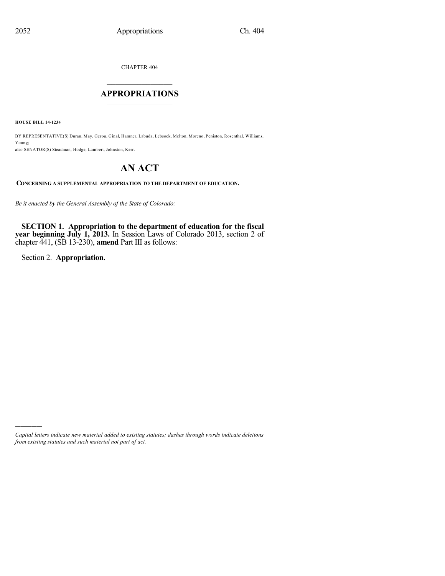CHAPTER 404

## $\mathcal{L}_\text{max}$  . The set of the set of the set of the set of the set of the set of the set of the set of the set of the set of the set of the set of the set of the set of the set of the set of the set of the set of the set **APPROPRIATIONS**  $\_$   $\_$   $\_$   $\_$   $\_$   $\_$   $\_$   $\_$

**HOUSE BILL 14-1234**

BY REPRESENTATIVE(S) Duran, May, Gerou, Ginal, Hamner, Labuda, Lebsock, Melton, Moreno, Peniston, Rosenthal, Williams, Young;

also SENATOR(S) Steadman, Hodge, Lambert, Johnston, Kerr.

# **AN ACT**

**CONCERNING A SUPPLEMENTAL APPROPRIATION TO THE DEPARTMENT OF EDUCATION.**

*Be it enacted by the General Assembly of the State of Colorado:*

**SECTION 1. Appropriation to the department of education for the fiscal year beginning July 1, 2013.** In Session Laws of Colorado 2013, section 2 of chapter 441, (SB 13-230), **amend** Part III as follows:

Section 2. **Appropriation.**

)))))

*Capital letters indicate new material added to existing statutes; dashes through words indicate deletions from existing statutes and such material not part of act.*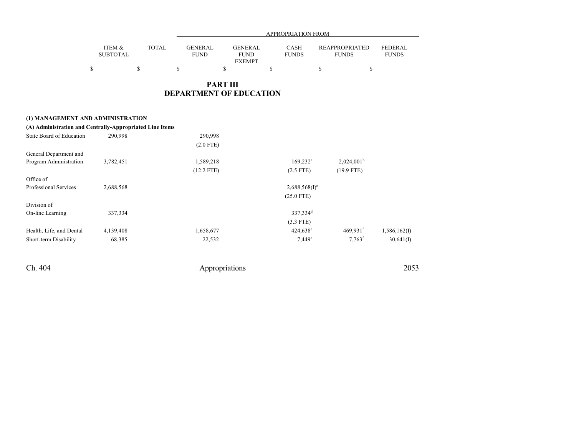|                 |              |                | APPROPRIATION FROM |              |                       |                |  |  |
|-----------------|--------------|----------------|--------------------|--------------|-----------------------|----------------|--|--|
|                 |              |                |                    |              |                       |                |  |  |
| ITEM &          | <b>TOTAL</b> | <b>GENERAL</b> | <b>GENERAL</b>     | <b>CASH</b>  | <b>REAPPROPRIATED</b> | <b>FEDERAL</b> |  |  |
| <b>SUBTOTAL</b> |              | <b>FUND</b>    | <b>FUND</b>        | <b>FUNDS</b> | <b>FUNDS</b>          | <b>FUNDS</b>   |  |  |
|                 |              |                | <b>EXEMPT</b>      |              |                       |                |  |  |
|                 |              |                |                    |              |                       |                |  |  |

## **PART III DEPARTMENT OF EDUCATION**

### **(1) MANAGEMENT AND ADMINISTRATION**

| 290,998   | 290,998      |                                                          |                        |              |
|-----------|--------------|----------------------------------------------------------|------------------------|--------------|
|           | $(2.0$ FTE)  |                                                          |                        |              |
|           |              |                                                          |                        |              |
| 3,782,451 | 1,589,218    | $169,232^a$                                              | $2,024,001^b$          |              |
|           | $(12.2$ FTE) | $(2.5$ FTE)                                              | $(19.9$ FTE)           |              |
|           |              |                                                          |                        |              |
| 2,688,568 |              | $2,688,568(1)$ <sup>c</sup>                              |                        |              |
|           |              | $(25.0$ FTE)                                             |                        |              |
|           |              |                                                          |                        |              |
| 337,334   |              | 337,334 <sup>d</sup>                                     |                        |              |
|           |              | $(3.3$ FTE)                                              |                        |              |
| 4,139,408 | 1,658,677    | 424,638 <sup>e</sup>                                     | $469,931$ <sup>f</sup> | 1,586,162(I) |
| 68,385    | 22,532       | $7,449^e$                                                | $7.763$ <sup>f</sup>   | 30,641(I)    |
|           |              | (A) Administration and Centrally-Appropriated Line Items |                        |              |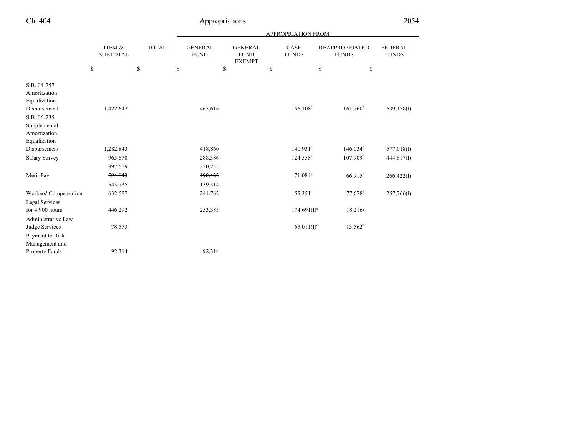|                                                                |                           |              | APPROPRIATION FROM            |                                                                               |                                       |                                |            |  |
|----------------------------------------------------------------|---------------------------|--------------|-------------------------------|-------------------------------------------------------------------------------|---------------------------------------|--------------------------------|------------|--|
|                                                                | ITEM &<br><b>SUBTOTAL</b> | <b>TOTAL</b> | <b>GENERAL</b><br><b>FUND</b> | <b>GENERAL</b><br><b>CASH</b><br><b>FUND</b><br><b>FUNDS</b><br><b>EXEMPT</b> | <b>REAPPROPRIATED</b><br><b>FUNDS</b> | <b>FEDERAL</b><br><b>FUNDS</b> |            |  |
|                                                                | \$                        | \$           | \$<br>\$                      |                                                                               | \$                                    | \$<br>\$                       |            |  |
| S.B. 04-257<br>Amortization<br>Equalization                    |                           |              |                               |                                                                               |                                       |                                |            |  |
| Disbursement                                                   | 1,422,642                 |              | 465,616                       |                                                                               | 156,108 <sup>e</sup>                  | $161,760$ <sup>f</sup>         | 639,158(I) |  |
| S.B. 06-235<br>Supplemental<br>Amortization<br>Equalization    |                           |              |                               |                                                                               |                                       |                                |            |  |
| Disbursement                                                   | 1,282,843                 |              | 418,860                       |                                                                               | $140,931$ <sup>e</sup>                | $146,034$ <sup>f</sup>         | 577,018(I) |  |
| <b>Salary Survey</b>                                           | 965,670<br>897,519        |              | 288,386<br>220,235            |                                                                               | 124,558 <sup>e</sup>                  | $107,909$ <sup>f</sup>         | 444,817(I) |  |
| Merit Pay                                                      | 594,843<br>543,735        |              | 190,422<br>139,314            |                                                                               | 71,084 <sup>e</sup>                   | $66,915$ <sup>f</sup>          | 266,422(I) |  |
| Workers' Compensation                                          | 632,557                   |              | 241,762                       |                                                                               | 55,351 <sup>e</sup>                   | 77,678 <sup>f</sup>            | 257,766(I) |  |
| <b>Legal Services</b><br>for 4,900 hours<br>Administrative Law | 446,292                   |              | 253,385                       |                                                                               | $174,691(I)^c$                        | $18,216^g$                     |            |  |
| Judge Services<br>Payment to Risk<br>Management and            | 78,573                    |              |                               |                                                                               | $65,011(1)^c$                         | $13,562^h$                     |            |  |
| Property Funds                                                 | 92,314                    |              | 92,314                        |                                                                               |                                       |                                |            |  |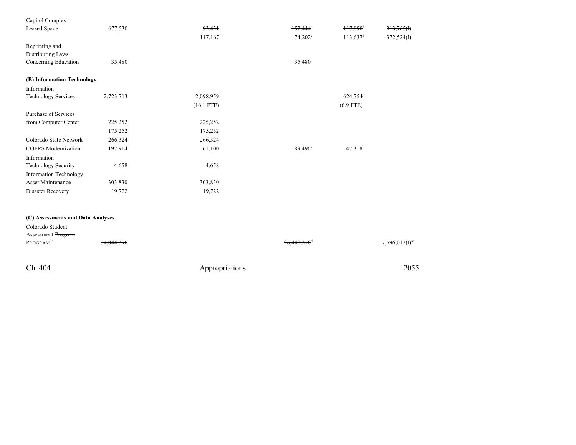| Capitol Complex                   |           |              |                  |                        |            |
|-----------------------------------|-----------|--------------|------------------|------------------------|------------|
| Leased Space                      | 677,530   | 93,431       | $152,444^\circ$  | $117,890$ <sup>f</sup> | 313,765(f) |
|                                   |           | 117,167      | $74,202^e$       | $113,637$ <sup>f</sup> | 372,524(I) |
| Reprinting and                    |           |              |                  |                        |            |
| Distributing Laws                 |           |              |                  |                        |            |
| Concerning Education              | 35,480    |              | $35,480^{\rm i}$ |                        |            |
| (B) Information Technology        |           |              |                  |                        |            |
| Information                       |           |              |                  |                        |            |
| <b>Technology Services</b>        | 2,723,713 | 2,098,959    |                  | 624,754                |            |
|                                   |           | $(16.1$ FTE) |                  | $(6.9$ FTE)            |            |
| Purchase of Services              |           |              |                  |                        |            |
| from Computer Center              | 225,252   | 225,252      |                  |                        |            |
|                                   | 175,252   | 175,252      |                  |                        |            |
| Colorado State Network            | 266,324   | 266,324      |                  |                        |            |
| <b>COFRS</b> Modernization        | 197,914   | 61,100       | $89,496^k$       | $47,318$ <sup>1</sup>  |            |
| Information                       |           |              |                  |                        |            |
| Technology Security               | 4,658     | 4,658        |                  |                        |            |
| Information Technology            |           |              |                  |                        |            |
| <b>Asset Maintenance</b>          | 303,830   | 303,830      |                  |                        |            |
| Disaster Recovery                 | 19,722    | 19,722       |                  |                        |            |
|                                   |           |              |                  |                        |            |
| (C) Assessments and Data Analyses |           |              |                  |                        |            |
| Colorado Student                  |           |              |                  |                        |            |
| Assessment Program                |           |              |                  |                        |            |

| PROGRAM <sup>3a</sup> | <del>34,044,390</del> | $26,448,378$ <sup>d</sup> | $7,596,012(I)^{m}$ |
|-----------------------|-----------------------|---------------------------|--------------------|
|                       |                       |                           |                    |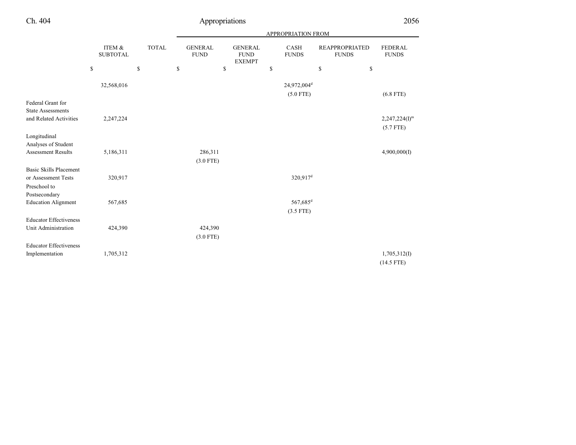|                                                                         |                            |                                             |                                                   |                                                | <b>APPROPRIATION FROM</b>              |                                       |                                   |
|-------------------------------------------------------------------------|----------------------------|---------------------------------------------|---------------------------------------------------|------------------------------------------------|----------------------------------------|---------------------------------------|-----------------------------------|
|                                                                         | ITEM &<br>${\tt SUBTOTAL}$ | <b>TOTAL</b>                                | <b>GENERAL</b><br>${\rm FUND}$                    | <b>GENERAL</b><br><b>FUND</b><br><b>EXEMPT</b> | <b>CASH</b><br><b>FUNDS</b>            | <b>REAPPROPRIATED</b><br><b>FUNDS</b> | <b>FEDERAL</b><br><b>FUNDS</b>    |
|                                                                         | ${\mathbb S}$              | $\mathbb{S}% _{n}^{X\rightarrow\mathbb{R}}$ | $\mathbb{S}% _{n}^{X\rightarrow\mathbb{R}}$<br>\$ |                                                | \$                                     | $\mathbb{S}$<br>\$                    |                                   |
|                                                                         | 32,568,016                 |                                             |                                                   |                                                | 24,972,004 <sup>d</sup><br>$(5.0$ FTE) |                                       | $(6.8$ FTE)                       |
| Federal Grant for<br><b>State Assessments</b><br>and Related Activities | 2,247,224                  |                                             |                                                   |                                                |                                        |                                       | $2,247,224(I)^{m}$<br>$(5.7$ FTE) |
| Longitudinal<br>Analyses of Student<br><b>Assessment Results</b>        | 5,186,311                  |                                             | 286,311<br>$(3.0$ FTE)                            |                                                |                                        |                                       | 4,900,000(I)                      |
| <b>Basic Skills Placement</b><br>or Assessment Tests<br>Preschool to    | 320,917                    |                                             |                                                   |                                                | 320,917 <sup>d</sup>                   |                                       |                                   |
| Postsecondary<br><b>Education Alignment</b>                             | 567,685                    |                                             |                                                   |                                                | 567,685 <sup>d</sup><br>$(3.5$ FTE)    |                                       |                                   |
| <b>Educator Effectiveness</b><br>Unit Administration                    | 424,390                    |                                             | 424,390<br>$(3.0$ FTE)                            |                                                |                                        |                                       |                                   |
| <b>Educator Effectiveness</b><br>Implementation                         | 1,705,312                  |                                             |                                                   |                                                |                                        |                                       | 1,705,312(I)<br>$(14.5$ FTE)      |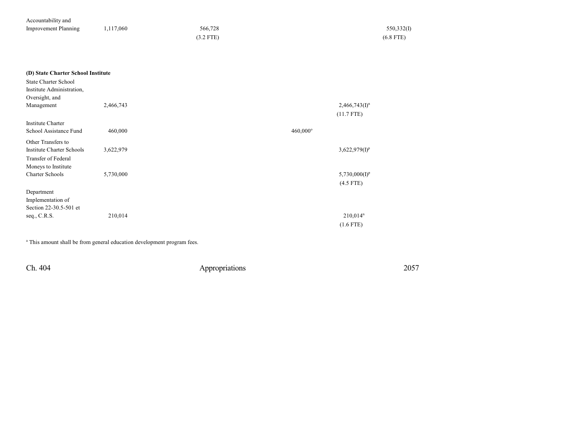| Accountability and          |           |             |             |
|-----------------------------|-----------|-------------|-------------|
| <b>Improvement Planning</b> | 1,117,060 | 566,728     | 550,332(I)  |
|                             |           | $(3.2$ FTE) | $(6.8$ FTE) |

| (D) State Charter School Institute |  |  |  |
|------------------------------------|--|--|--|
|------------------------------------|--|--|--|

| <b>State Charter School</b>      |           |             |                      |
|----------------------------------|-----------|-------------|----------------------|
| Institute Administration,        |           |             |                      |
| Oversight, and                   |           |             |                      |
| Management                       | 2,466,743 |             | $2,466,743(I)^n$     |
|                                  |           |             | $(11.7$ FTE)         |
| <b>Institute Charter</b>         |           |             |                      |
| School Assistance Fund           | 460,000   | $460,000$ ° |                      |
| Other Transfers to               |           |             |                      |
| <b>Institute Charter Schools</b> | 3,622,979 |             | $3,622,979(I)^p$     |
| Transfer of Federal              |           |             |                      |
| Moneys to Institute              |           |             |                      |
| <b>Charter Schools</b>           | 5,730,000 |             | $5,730,000(I)^p$     |
|                                  |           |             | $(4.5$ FTE)          |
| Department                       |           |             |                      |
| Implementation of                |           |             |                      |
| Section 22-30.5-501 et           |           |             |                      |
| seq., C.R.S.                     | 210,014   |             | 210,014 <sup>n</sup> |
|                                  |           |             | $(1.6$ FTE)          |

<sup>a</sup> This amount shall be from general education development program fees.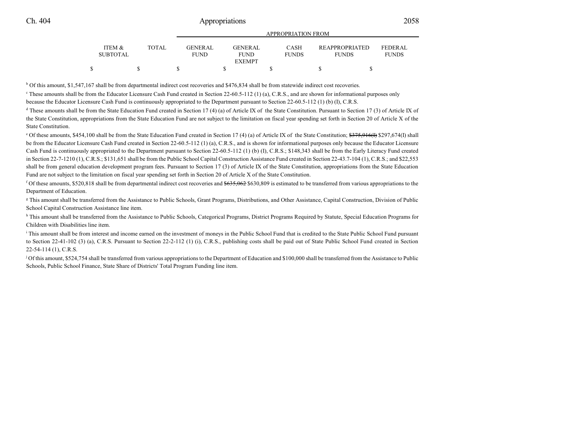|                 |              | ALLINOI INATION FROM |                 |              |                       |                |
|-----------------|--------------|----------------------|-----------------|--------------|-----------------------|----------------|
| ITEM &          | <b>TOTAL</b> | <b>GENERAL</b>       | <b>GENER AL</b> | <b>CASH</b>  | <b>REAPPROPRIATED</b> | <b>FEDERAL</b> |
| <b>SUBTOTAL</b> |              | <b>FUND</b>          | <b>FUND</b>     | <b>FUNDS</b> | <b>FUNDS</b>          | <b>FUNDS</b>   |
|                 |              |                      | <b>EXEMPT</b>   |              |                       |                |
|                 |              |                      |                 |              |                       |                |

APPROPRIATION FROM

<sup>b</sup> Of this amount, \$1,547,167 shall be from departmental indirect cost recoveries and \$476,834 shall be from statewide indirect cost recoveries.

These amounts shall be from the Educator Licensure Cash Fund created in Section 22-60.5-112 (1) (a), C.R.S., and are shown for informational purposes only because the Educator Licensure Cash Fund is continuously appropriated to the Department pursuant to Section 22-60.5-112 (1) (b) (I), C.R.S.

<sup>d</sup> These amounts shall be from the State Education Fund created in Section 17 (4) (a) of Article IX of the State Constitution. Pursuant to Section 17 (3) of Article IX of the State Constitution, appropriations from the State Education Fund are not subject to the limitation on fiscal year spending set forth in Section 20 of Article X of the State Constitution.

<sup>e</sup> Of these amounts, \$454,100 shall be from the State Education Fund created in Section 17 (4) (a) of Article IX of the State Constitution;  $\frac{2375,916(f)}{297,674(f)}$  \$297,674(I) shall be from the Educator Licensure Cash Fund created in Section 22-60.5-112 (1) (a), C.R.S., and is shown for informational purposes only because the Educator Licensure Cash Fund is continuously appropriated to the Department pursuant to Section 22-60.5-112 (1) (b) (I), C.R.S.; \$148,343 shall be from the Early Literacy Fund created in Section 22-7-1210 (1), C.R.S.; \$131,651 shall be from the Public School Capital Construction Assistance Fund created in Section 22-43.7-104 (1), C.R.S.; and \$22,553 shall be from general education development program fees. Pursuant to Section 17 (3) of Article IX of the State Constitution, appropriations from the State Education Fund are not subject to the limitation on fiscal year spending set forth in Section 20 of Article X of the State Constitution.

<sup>f</sup> Of these amounts, \$520,818 shall be from departmental indirect cost recoveries and  $$635,062$$  \$630,809 is estimated to be transferred from various appropriations to the Department of Education.

g This amount shall be transferred from the Assistance to Public Schools, Grant Programs, Distributions, and Other Assistance, Capital Construction, Division of Public School Capital Construction Assistance line item.

<sup>h</sup> This amount shall be transferred from the Assistance to Public Schools, Categorical Programs, District Programs Required by Statute, Special Education Programs for Children with Disabilities line item.

i This amount shall be from interest and income earned on the investment of moneys in the Public School Fund that is credited to the State Public School Fund pursuant to Section 22-41-102 (3) (a), C.R.S. Pursuant to Section 22-2-112 (1) (i), C.R.S., publishing costs shall be paid out of State Public School Fund created in Section 22-54-114 (1), C.R.S.

<sup>j</sup> Of this amount, \$524,754 shall be transferred from various appropriations to the Department of Education and \$100,000 shall be transferred from the Assistance to Public Schools, Public School Finance, State Share of Districts' Total Program Funding line item.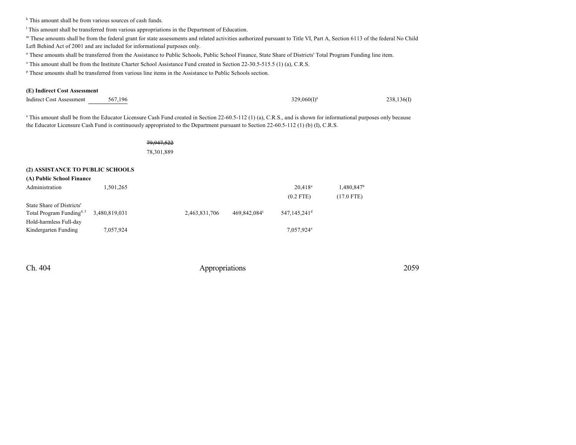k This amount shall be from various sources of cash funds.

<sup>1</sup> This amount shall be transferred from various appropriations in the Department of Education.

m These amounts shall be from the federal grant for state assessments and related activities authorized pursuant to Title VI, Part A, Section 6113 of the federal No Child Left Behind Act of 2001 and are included for informational purposes only.

n These amounts shall be transferred from the Assistance to Public Schools, Public School Finance, State Share of Districts' Total Program Funding line item.

<sup>o</sup> This amount shall be from the Institute Charter School Assistance Fund created in Section 22-30.5-515.5 (1) (a), C.R.S.

<sup>p</sup> These amounts shall be transferred from various line items in the Assistance to Public Schools section.

#### **(E) Indirect Cost Assessment**

| <b>Indirect Cost Assessment</b>  | 567,196   |                                                                                                                                                                                                                                                                                                                     | $329,060(1)^a$ | 238,136(I)             |
|----------------------------------|-----------|---------------------------------------------------------------------------------------------------------------------------------------------------------------------------------------------------------------------------------------------------------------------------------------------------------------------|----------------|------------------------|
|                                  |           | <sup>a</sup> This amount shall be from the Educator Licensure Cash Fund created in Section 22-60.5-112 (1) (a), C.R.S., and is shown for informational purposes only because<br>the Educator Licensure Cash Fund is continuously appropriated to the Department pursuant to Section 22-60.5-112 (1) (b) (I), C.R.S. |                |                        |
|                                  |           | 79,947,522                                                                                                                                                                                                                                                                                                          |                |                        |
|                                  |           | 78,301,889                                                                                                                                                                                                                                                                                                          |                |                        |
| (2) ASSISTANCE TO PUBLIC SCHOOLS |           |                                                                                                                                                                                                                                                                                                                     |                |                        |
| (A) Public School Finance        |           |                                                                                                                                                                                                                                                                                                                     |                |                        |
| Administration                   | 1,501,265 |                                                                                                                                                                                                                                                                                                                     | $20,418^a$     | 1,480,847 <sup>b</sup> |
|                                  |           |                                                                                                                                                                                                                                                                                                                     | $(0.2$ FTE)    | $(17.0$ FTE)           |
| State Share of Districts'        |           |                                                                                                                                                                                                                                                                                                                     |                |                        |

| Hold-harmless Full-day |           |                        |
|------------------------|-----------|------------------------|
| Kindergarten Funding   | 7,057,924 | 7,057,924 <sup>a</sup> |

Total Program Funding<sup>4, 5</sup> 3,480,819,031 2,463,831,706 469,842,084

Ch. 404 Appropriations 2059

469,842,084°

547,145,241 d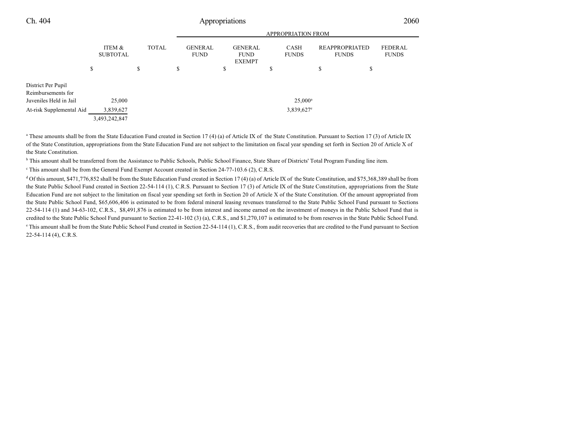|                                                                    |                           |              | <b>APPROPRIATION FROM</b>     |                                                |                          |                                       |                         |  |  |
|--------------------------------------------------------------------|---------------------------|--------------|-------------------------------|------------------------------------------------|--------------------------|---------------------------------------|-------------------------|--|--|
|                                                                    | ITEM &<br><b>SUBTOTAL</b> | <b>TOTAL</b> | <b>GENERAL</b><br><b>FUND</b> | <b>GENERAL</b><br><b>FUND</b><br><b>EXEMPT</b> | CASH<br><b>FUNDS</b>     | <b>REAPPROPRIATED</b><br><b>FUNDS</b> | FEDERAL<br><b>FUNDS</b> |  |  |
|                                                                    | \$                        | \$           | \$                            | \$                                             | ¢<br>P                   | \$<br>D                               |                         |  |  |
| District Per Pupil<br>Reimbursements for<br>Juveniles Held in Jail | 25,000                    |              |                               |                                                | $25,000^{\rm a}$         |                                       |                         |  |  |
| At-risk Supplemental Aid                                           | 3,839,627                 |              |                               |                                                | $3,839,627$ <sup>e</sup> |                                       |                         |  |  |
|                                                                    | 3,493,242,847             |              |                               |                                                |                          |                                       |                         |  |  |

<sup>a</sup> These amounts shall be from the State Education Fund created in Section 17 (4) (a) of Article IX of the State Constitution. Pursuant to Section 17 (3) of Article IX of the State Constitution, appropriations from the State Education Fund are not subject to the limitation on fiscal year spending set forth in Section 20 of Article X of the State Constitution.

<sup>b</sup> This amount shall be transferred from the Assistance to Public Schools, Public School Finance, State Share of Districts' Total Program Funding line item.

This amount shall be from the General Fund Exempt Account created in Section 24-77-103.6 (2), C.R.S.

<sup>d</sup> Of this amount, \$471,776,852 shall be from the State Education Fund created in Section 17 (4) (a) of Article IX of the State Constitution, and \$75,368,389 shall be from the State Public School Fund created in Section 22-54-114 (1), C.R.S. Pursuant to Section 17 (3) of Article IX of the State Constitution, appropriations from the State Education Fund are not subject to the limitation on fiscal year spending set forth in Section 20 of Article X of the State Constitution. Of the amount appropriated from the State Public School Fund, \$65,606,406 is estimated to be from federal mineral leasing revenues transferred to the State Public School Fund pursuant to Sections 22-54-114 (1) and 34-63-102, C.R.S., \$8,491,876 is estimated to be from interest and income earned on the investment of moneys in the Public School Fund that is credited to the State Public School Fund pursuant to Section 22-41-102 (3) (a), C.R.S., and \$1,270,107 is estimated to be from reserves in the State Public School Fund. <sup>e</sup> This amount shall be from the State Public School Fund created in Section 22-54-114 (1), C.R.S., from audit recoveries that are credited to the Fund pursuant to Section 22-54-114 (4), C.R.S.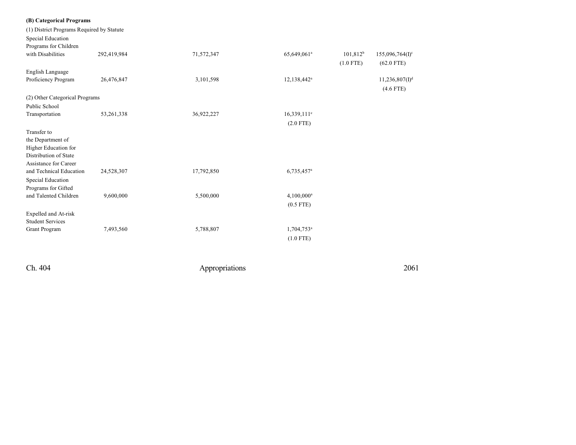| (B) Categorical Programs                  |              |                |                           |             |                            |
|-------------------------------------------|--------------|----------------|---------------------------|-------------|----------------------------|
| (1) District Programs Required by Statute |              |                |                           |             |                            |
| Special Education                         |              |                |                           |             |                            |
| Programs for Children                     |              |                |                           |             |                            |
| with Disabilities                         | 292,419,984  | 71,572,347     | 65,649,061 <sup>a</sup>   | $101,812^b$ | $155,096,764(I)^c$         |
|                                           |              |                |                           | $(1.0$ FTE) | $(62.0$ FTE)               |
| English Language                          |              |                |                           |             |                            |
| Proficiency Program                       | 26,476,847   | 3,101,598      | 12,138,442 <sup>a</sup>   |             | 11,236,807(1) <sup>d</sup> |
|                                           |              |                |                           |             | $(4.6$ FTE)                |
| (2) Other Categorical Programs            |              |                |                           |             |                            |
| Public School                             |              |                |                           |             |                            |
| Transportation                            | 53, 261, 338 | 36,922,227     | $16,339,111$ <sup>e</sup> |             |                            |
|                                           |              |                | $(2.0$ FTE)               |             |                            |
| Transfer to                               |              |                |                           |             |                            |
| the Department of                         |              |                |                           |             |                            |
| Higher Education for                      |              |                |                           |             |                            |
| Distribution of State                     |              |                |                           |             |                            |
| <b>Assistance for Career</b>              |              |                |                           |             |                            |
| and Technical Education                   | 24,528,307   | 17,792,850     | 6,735,457 <sup>a</sup>    |             |                            |
| Special Education                         |              |                |                           |             |                            |
| Programs for Gifted                       |              |                |                           |             |                            |
| and Talented Children                     | 9,600,000    | 5,500,000      | $4,100,000^a$             |             |                            |
|                                           |              |                | $(0.5$ FTE)               |             |                            |
| Expelled and At-risk                      |              |                |                           |             |                            |
| <b>Student Services</b>                   |              |                |                           |             |                            |
| Grant Program                             | 7,493,560    | 5,788,807      | 1,704,753 <sup>a</sup>    |             |                            |
|                                           |              |                | $(1.0$ FTE)               |             |                            |
|                                           |              |                |                           |             |                            |
|                                           |              |                |                           |             |                            |
| Ch. 404                                   |              | Appropriations |                           |             | 2061                       |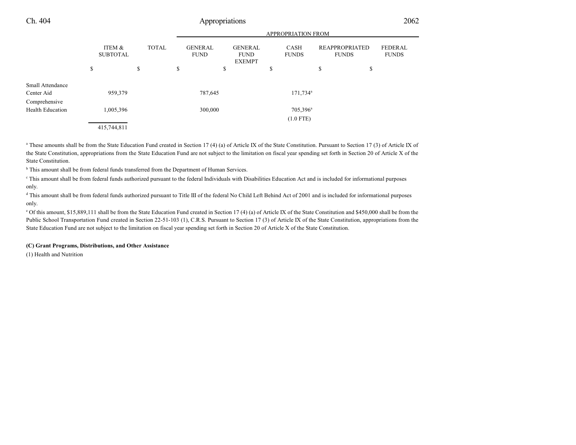|                                          |    |                           |    | <b>APPROPRIATION FROM</b> |                               |    |                                                |    |                             |    |                                       |                                |
|------------------------------------------|----|---------------------------|----|---------------------------|-------------------------------|----|------------------------------------------------|----|-----------------------------|----|---------------------------------------|--------------------------------|
|                                          |    | ITEM &<br><b>SUBTOTAL</b> |    | <b>TOTAL</b>              | <b>GENERAL</b><br><b>FUND</b> |    | <b>GENERAL</b><br><b>FUND</b><br><b>EXEMPT</b> |    | <b>CASH</b><br><b>FUNDS</b> |    | <b>REAPPROPRIATED</b><br><b>FUNDS</b> | <b>FEDERAL</b><br><b>FUNDS</b> |
|                                          | \$ |                           | \$ |                           | \$                            | \$ |                                                | \$ |                             | \$ |                                       | \$                             |
| Small Attendance<br>Center Aid           |    | 959,379                   |    |                           | 787,645                       |    |                                                |    | 171,734 <sup>a</sup>        |    |                                       |                                |
| Comprehensive<br><b>Health Education</b> |    | 1,005,396                 |    |                           | 300,000                       |    |                                                |    | 705,396 <sup>a</sup>        |    |                                       |                                |
|                                          |    |                           |    |                           |                               |    |                                                |    | $(1.0$ FTE)                 |    |                                       |                                |
|                                          |    | 415,744,811               |    |                           |                               |    |                                                |    |                             |    |                                       |                                |

<sup>a</sup> These amounts shall be from the State Education Fund created in Section 17 (4) (a) of Article IX of the State Constitution. Pursuant to Section 17 (3) of Article IX of the State Constitution, appropriations from the State Education Fund are not subject to the limitation on fiscal year spending set forth in Section 20 of Article X of the State Constitution.

<sup>b</sup> This amount shall be from federal funds transferred from the Department of Human Services.

c This amount shall be from federal funds authorized pursuant to the federal Individuals with Disabilities Education Act and is included for informational purposes only.

<sup>d</sup> This amount shall be from federal funds authorized pursuant to Title III of the federal No Child Left Behind Act of 2001 and is included for informational purposes only.

<sup>e</sup> Of this amount, \$15,889,111 shall be from the State Education Fund created in Section 17 (4) (a) of Article IX of the State Constitution and \$450,000 shall be from the Public School Transportation Fund created in Section 22-51-103 (1), C.R.S. Pursuant to Section 17 (3) of Article IX of the State Constitution, appropriations from the State Education Fund are not subject to the limitation on fiscal year spending set forth in Section 20 of Article X of the State Constitution.

### **(C) Grant Programs, Distributions, and Other Assistance**

(1) Health and Nutrition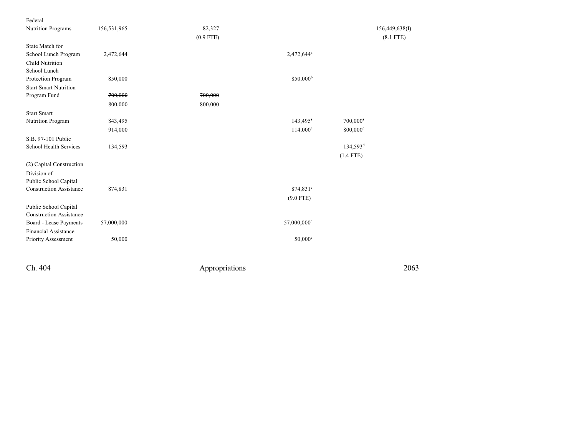| Federal                        |             |             |                         |                        |                |
|--------------------------------|-------------|-------------|-------------------------|------------------------|----------------|
| <b>Nutrition Programs</b>      | 156,531,965 | 82,327      |                         |                        | 156,449,638(I) |
|                                |             | $(0.9$ FTE) |                         |                        | $(8.1$ FTE)    |
| State Match for                |             |             |                         |                        |                |
| School Lunch Program           | 2,472,644   |             | 2,472,644 <sup>a</sup>  |                        |                |
| <b>Child Nutrition</b>         |             |             |                         |                        |                |
| School Lunch                   |             |             |                         |                        |                |
| Protection Program             | 850,000     |             | 850,000 <sup>b</sup>    |                        |                |
| <b>Start Smart Nutrition</b>   |             |             |                         |                        |                |
| Program Fund                   | 700,000     | 700,000     |                         |                        |                |
|                                | 800,000     | 800,000     |                         |                        |                |
| <b>Start Smart</b>             |             |             |                         |                        |                |
| Nutrition Program              | 843,495     |             | $143,495^\circ$         | $700,000^{\circ}$      |                |
|                                | 914,000     |             | $114,000^{\circ}$       | 800,000 <sup>c</sup>   |                |
| S.B. 97-101 Public             |             |             |                         |                        |                |
| School Health Services         | 134,593     |             |                         | $134,593$ <sup>d</sup> |                |
|                                |             |             |                         | $(1.4$ FTE)            |                |
| (2) Capital Construction       |             |             |                         |                        |                |
| Division of                    |             |             |                         |                        |                |
| Public School Capital          |             |             |                         |                        |                |
| <b>Construction Assistance</b> | 874,831     |             | 874,831 <sup>e</sup>    |                        |                |
|                                |             |             | $(9.0$ FTE)             |                        |                |
| Public School Capital          |             |             |                         |                        |                |
| <b>Construction Assistance</b> |             |             |                         |                        |                |
| Board - Lease Payments         | 57,000,000  |             | 57,000,000 <sup>e</sup> |                        |                |
| <b>Financial Assistance</b>    |             |             |                         |                        |                |
| Priority Assessment            | 50,000      |             | $50,000^{\circ}$        |                        |                |
|                                |             |             |                         |                        |                |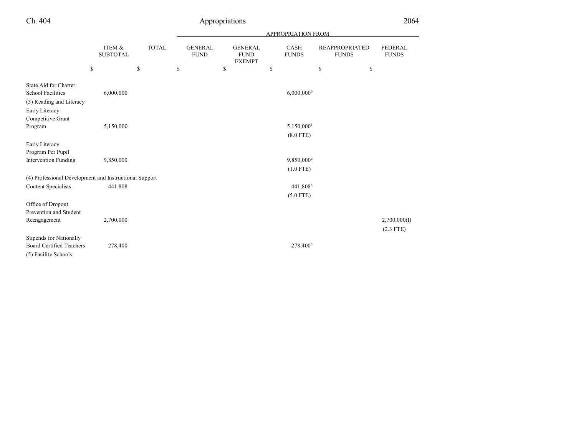|                                                                               |                           |              |                               |                                                | <b>APPROPRIATION FROM</b> |                                       |                                |
|-------------------------------------------------------------------------------|---------------------------|--------------|-------------------------------|------------------------------------------------|---------------------------|---------------------------------------|--------------------------------|
|                                                                               | ITEM &<br><b>SUBTOTAL</b> | <b>TOTAL</b> | <b>GENERAL</b><br><b>FUND</b> | <b>GENERAL</b><br><b>FUND</b><br><b>EXEMPT</b> | CASH<br><b>FUNDS</b>      | <b>REAPPROPRIATED</b><br><b>FUNDS</b> | <b>FEDERAL</b><br><b>FUNDS</b> |
|                                                                               | \$                        | \$           | \$                            | \$                                             | \$                        | \$<br>\$                              |                                |
| State Aid for Charter<br><b>School Facilities</b><br>(3) Reading and Literacy | 6,000,000                 |              |                               |                                                | $6,000,000$ <sup>b</sup>  |                                       |                                |
| Early Literacy<br>Competitive Grant                                           |                           |              |                               |                                                |                           |                                       |                                |
| Program                                                                       | 5,150,000                 |              |                               |                                                | 5,150,000f                |                                       |                                |
|                                                                               |                           |              |                               |                                                | $(8.0$ FTE)               |                                       |                                |
| Early Literacy<br>Program Per Pupil                                           |                           |              |                               |                                                |                           |                                       |                                |
| Intervention Funding                                                          | 9,850,000                 |              |                               |                                                | 9,850,000 <sup>g</sup>    |                                       |                                |
|                                                                               |                           |              |                               |                                                | $(1.0$ FTE)               |                                       |                                |
| (4) Professional Development and Instructional Support                        |                           |              |                               |                                                |                           |                                       |                                |
| <b>Content Specialists</b>                                                    | 441,808                   |              |                               |                                                | 441,808 <sup>b</sup>      |                                       |                                |
|                                                                               |                           |              |                               |                                                | $(5.0$ FTE)               |                                       |                                |
| Office of Dropout                                                             |                           |              |                               |                                                |                           |                                       |                                |
| Prevention and Student                                                        |                           |              |                               |                                                |                           |                                       |                                |
| Reengagement                                                                  | 2,700,000                 |              |                               |                                                |                           |                                       | 2,700,000(I)                   |
|                                                                               |                           |              |                               |                                                |                           |                                       | $(2.3$ FTE)                    |
| <b>Stipends for Nationally</b>                                                |                           |              |                               |                                                |                           |                                       |                                |
| <b>Board Certified Teachers</b>                                               | 278,400                   |              |                               |                                                | 278,400 <sup>b</sup>      |                                       |                                |
| (5) Facility Schools                                                          |                           |              |                               |                                                |                           |                                       |                                |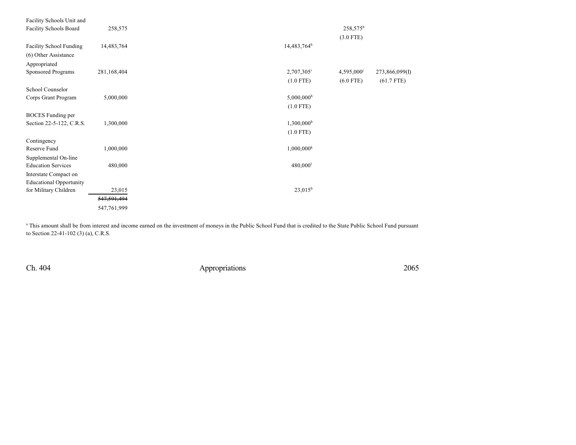| Facility Schools Unit and      |               |                            |                |
|--------------------------------|---------------|----------------------------|----------------|
| <b>Facility Schools Board</b>  | 258,575       | $258,575^h$                |                |
|                                |               | $(3.0$ FTE)                |                |
| <b>Facility School Funding</b> | 14,483,764    | 14,483,764 <sup>b</sup>    |                |
| (6) Other Assistance           |               |                            |                |
| Appropriated                   |               |                            |                |
| Sponsored Programs             | 281,168,404   | 2,707,305<br>4,595,000     | 273,866,099(I) |
|                                |               | $(1.0$ FTE)<br>$(6.0$ FTE) | $(61.7$ FTE)   |
| School Counselor               |               |                            |                |
| Corps Grant Program            | 5,000,000     | $5,000,000^{\rm b}$        |                |
|                                |               | $(1.0$ FTE)                |                |
| <b>BOCES</b> Funding per       |               |                            |                |
| Section 22-5-122, C.R.S.       | 1,300,000     | $1,300,000^{\rm b}$        |                |
|                                |               | $(1.0$ FTE)                |                |
|                                |               |                            |                |
| Contingency                    |               |                            |                |
| Reserve Fund                   | 1,000,000     | $1,000,000^k$              |                |
| Supplemental On-line           |               |                            |                |
| <b>Education Services</b>      | 480,000       | 480,000 <sup>1</sup>       |                |
| Interstate Compact on          |               |                            |                |
| <b>Educational Opportunity</b> |               |                            |                |
| for Military Children          | 23,015        | $23,015^b$                 |                |
|                                | 547, 591, 494 |                            |                |
|                                | 547,761,999   |                            |                |
|                                |               |                            |                |

<sup>a</sup> This amount shall be from interest and income earned on the investment of moneys in the Public School Fund that is credited to the State Public School Fund pursuant to Section 22-41-102 (3) (a), C.R.S.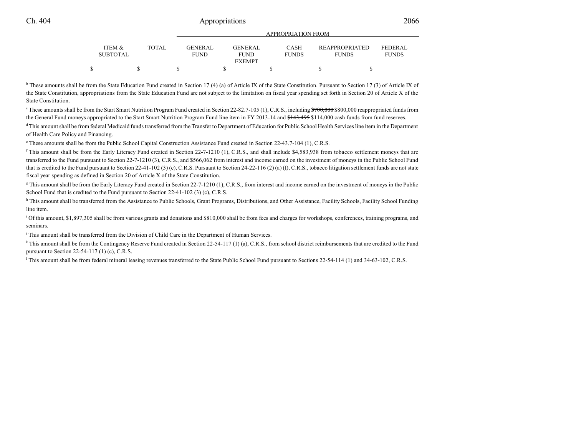|                           |              |                                | AFFINUENIA HUIN FINUM         |                      |                                       |                         |  |  |
|---------------------------|--------------|--------------------------------|-------------------------------|----------------------|---------------------------------------|-------------------------|--|--|
| ITEM &<br><b>SUBTOTAL</b> | <b>TOTAL</b> | <b>GENER AL</b><br><b>FUND</b> | <b>GENERAL</b><br><b>FUND</b> | CASH<br><b>FUNDS</b> | <b>REAPPROPRIATED</b><br><b>FUNDS</b> | FEDERAL<br><b>FUNDS</b> |  |  |
|                           |              |                                | <b>EXEMPT</b>                 |                      |                                       |                         |  |  |
|                           |              |                                |                               |                      |                                       |                         |  |  |

APPROPRIATION FROM

<sup>b</sup> These amounts shall be from the State Education Fund created in Section 17 (4) (a) of Article IX of the State Constitution. Pursuant to Section 17 (3) of Article IX of the State Constitution, appropriations from the State Education Fund are not subject to the limitation on fiscal year spending set forth in Section 20 of Article X of the State Constitution.

 $\degree$ These amounts shall be from the Start Smart Nutrition Program Fund created in Section 22-82.7-105 (1), C.R.S., including  $\degree$ 700,000 \$800,000 reappropriated funds from the General Fund moneys appropriated to the Start Smart Nutrition Program Fund line item in FY 2013-14 and \$143,495 \$114,000 cash funds from fund reserves.

<sup>d</sup> This amount shall be from federal Medicaid funds transferred from the Transfer to Department of Education for Public School Health Services line item in the Department of Health Care Policy and Financing.

e These amounts shall be from the Public School Capital Construction Assistance Fund created in Section 22-43.7-104 (1), C.R.S.

<sup>f</sup> This amount shall be from the Early Literacy Fund created in Section 22-7-1210 (1), C.R.S., and shall include \$4,583,938 from tobacco settlement moneys that are transferred to the Fund pursuant to Section 22-7-1210 (3), C.R.S., and \$566,062 from interest and income earned on the investment of moneys in the Public School Fund that is credited to the Fund pursuant to Section 22-41-102 (3) (c), C.R.S. Pursuant to Section 24-22-116 (2) (a) (I), C.R.S., tobacco litigation settlement funds are not state fiscal year spending as defined in Section 20 of Article X of the State Constitution.

<sup>g</sup> This amount shall be from the Early Literacy Fund created in Section 22-7-1210 (1), C.R.S., from interest and income earned on the investment of moneys in the Public School Fund that is credited to the Fund pursuant to Section 22-41-102 (3) (c), C.R.S.

h This amount shall be transferred from the Assistance to Public Schools, Grant Programs, Distributions, and Other Assistance, Facility Schools, Facility School Funding line item.

<sup>i</sup> Of this amount, \$1,897,305 shall be from various grants and donations and \$810,000 shall be from fees and charges for workshops, conferences, training programs, and seminars.

j This amount shall be transferred from the Division of Child Care in the Department of Human Services.

k This amount shall be from the Contingency Reserve Fund created in Section 22-54-117 (1) (a), C.R.S., from school district reimbursements that are credited to the Fund pursuant to Section 22-54-117 (1) (c), C.R.S.

This amount shall be from federal mineral leasing revenues transferred to the State Public School Fund pursuant to Sections 22-54-114 (1) and 34-63-102, C.R.S.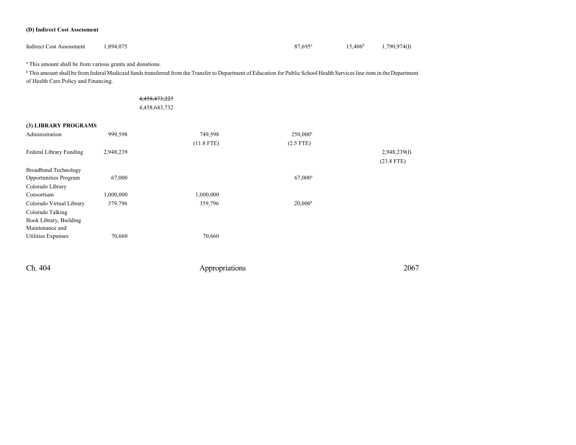#### **(D) Indirect Cost Assessment**

| <b>Indirect Cost Assessment</b><br>1,894,075 | 87,695 <sup>a</sup> | $15,406^{\rm b}$ | 1,790,974(I) |
|----------------------------------------------|---------------------|------------------|--------------|
|----------------------------------------------|---------------------|------------------|--------------|

<sup>a</sup> This amount shall be from various grants and donations.

<sup>b</sup> This amount shall be from federal Medicaid funds transferred from the Transfer to Department of Education for Public School Health Services line item in the Department of Health Care Policy and Financing.

| 4,458,473,227 |  |
|---------------|--|
| 4,458,643,732 |  |

#### **(3) LIBRARY PROGRAMS**

| Administration               | 999,598   | 749,598      | $250,000^a$      |              |
|------------------------------|-----------|--------------|------------------|--------------|
|                              |           | $(11.8$ FTE) | $(2.5$ FTE)      |              |
| Federal Library Funding      | 2,948,239 |              |                  | 2,948,239(1) |
|                              |           |              |                  | $(23.8$ FTE) |
| <b>Broadband Technology</b>  |           |              |                  |              |
| <b>Opportunities Program</b> | 67,000    |              | $67,000^{\rm a}$ |              |
| Colorado Library             |           |              |                  |              |
| Consortium                   | 1,000,000 | 1,000,000    |                  |              |
| Colorado Virtual Library     | 379,796   | 359,796      | $20,000^a$       |              |
| Colorado Talking             |           |              |                  |              |
| Book Library, Building       |           |              |                  |              |
| Maintenance and              |           |              |                  |              |
| <b>Utilities Expenses</b>    | 70,660    | 70,660       |                  |              |
|                              |           |              |                  |              |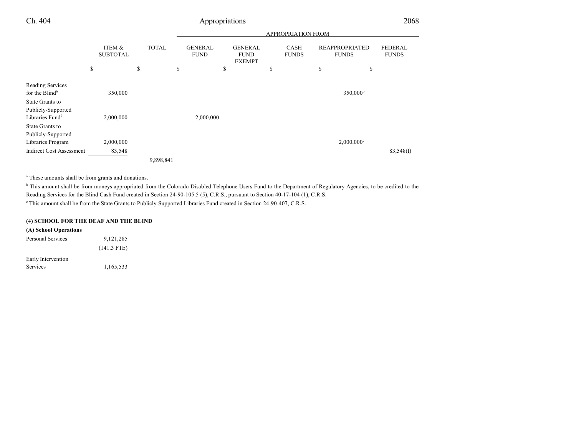|                                                                      |                           |              | <b>APPROPRIATION FROM</b>     |                                                |                             |                                       |                                |  |  |  |  |
|----------------------------------------------------------------------|---------------------------|--------------|-------------------------------|------------------------------------------------|-----------------------------|---------------------------------------|--------------------------------|--|--|--|--|
|                                                                      | ITEM &<br><b>SUBTOTAL</b> | <b>TOTAL</b> | <b>GENERAL</b><br><b>FUND</b> | <b>GENERAL</b><br><b>FUND</b><br><b>EXEMPT</b> | <b>CASH</b><br><b>FUNDS</b> | <b>REAPPROPRIATED</b><br><b>FUNDS</b> | <b>FEDERAL</b><br><b>FUNDS</b> |  |  |  |  |
|                                                                      | \$                        | \$           | \$                            | \$                                             | \$                          | \$<br>\$                              |                                |  |  |  |  |
| Reading Services<br>for the Blind <sup>6</sup>                       | 350,000                   |              |                               |                                                |                             | 350,000 <sup>b</sup>                  |                                |  |  |  |  |
| State Grants to<br>Publicly-Supported<br>Libraries Fund <sup>7</sup> | 2,000,000                 |              | 2,000,000                     |                                                |                             |                                       |                                |  |  |  |  |
| State Grants to<br>Publicly-Supported<br>Libraries Program           | 2,000,000                 |              |                               |                                                |                             | $2,000,000$ <sup>c</sup>              |                                |  |  |  |  |
| <b>Indirect Cost Assessment</b>                                      | 83,548                    | 9,898,841    |                               |                                                |                             |                                       | 83,548(I)                      |  |  |  |  |

<sup>a</sup> These amounts shall be from grants and donations.

<sup>b</sup> This amount shall be from moneys appropriated from the Colorado Disabled Telephone Users Fund to the Department of Regulatory Agencies, to be credited to the Reading Services for the Blind Cash Fund created in Section 24-90-105.5 (5), C.R.S., pursuant to Section 40-17-104 (1), C.R.S.

c This amount shall be from the State Grants to Publicly-Supported Libraries Fund created in Section 24-90-407, C.R.S.

### **(4) SCHOOL FOR THE DEAF AND THE BLIND**

**(A) School Operations** Personal Services 9,121,285 (141.3 FTE) Early Intervention Services 1,165,533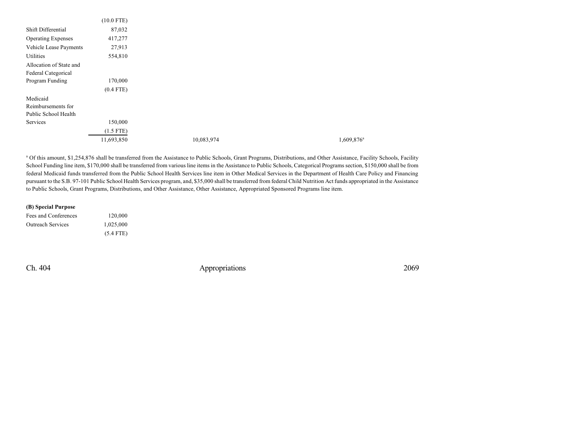|                           | $(10.0$ FTE) |            |               |
|---------------------------|--------------|------------|---------------|
| Shift Differential        | 87,032       |            |               |
| <b>Operating Expenses</b> | 417,277      |            |               |
| Vehicle Lease Payments    | 27,913       |            |               |
| Utilities                 | 554,810      |            |               |
| Allocation of State and   |              |            |               |
| Federal Categorical       |              |            |               |
| Program Funding           | 170,000      |            |               |
|                           | $(0.4$ FTE)  |            |               |
| Medicaid                  |              |            |               |
| Reimbursements for        |              |            |               |
| Public School Health      |              |            |               |
| Services                  | 150,000      |            |               |
|                           | $(1.5$ FTE)  |            |               |
|                           | 11,693,850   | 10,083,974 | $1,609,876^a$ |

a Of this amount, \$1,254,876 shall be transferred from the Assistance to Public Schools, Grant Programs, Distributions, and Other Assistance, Facility Schools, Facility School Funding line item, \$170,000 shall be transferred from various line items in the Assistance to Public Schools, Categorical Programs section, \$150,000 shall be from federal Medicaid funds transferred from the Public School Health Services line item in Other Medical Services in the Department of Health Care Policy and Financing pursuant to the S.B. 97-101 Public School Health Services program, and, \$35,000 shall be transferred from federal Child Nutrition Act funds appropriated in the Assistance to Public Schools, Grant Programs, Distributions, and Other Assistance, Other Assistance, Appropriated Sponsored Programs line item.

#### **(B) Special Purpose**

| Fees and Conferences     | 120,000     |
|--------------------------|-------------|
| <b>Outreach Services</b> | 1,025,000   |
|                          | $(5.4$ FTE) |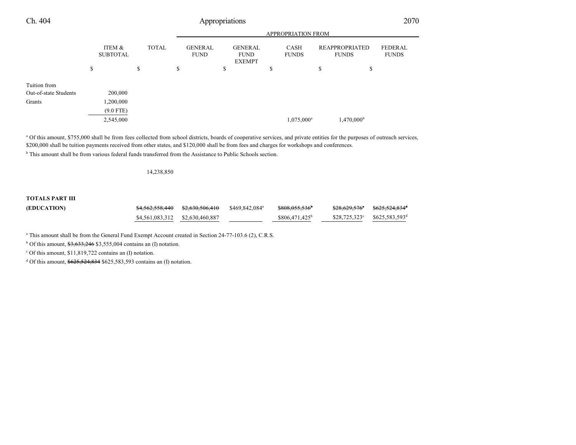| Ch. 404               | Appropriations |                           |    |              |    |                               |    |                                                |    |                           | 2070                                  |                                |
|-----------------------|----------------|---------------------------|----|--------------|----|-------------------------------|----|------------------------------------------------|----|---------------------------|---------------------------------------|--------------------------------|
|                       |                |                           |    |              |    |                               |    |                                                |    | <b>APPROPRIATION FROM</b> |                                       |                                |
|                       |                | ITEM &<br><b>SUBTOTAL</b> |    | <b>TOTAL</b> |    | <b>GENERAL</b><br><b>FUND</b> |    | <b>GENERAL</b><br><b>FUND</b><br><b>EXEMPT</b> |    | CASH<br><b>FUNDS</b>      | <b>REAPPROPRIATED</b><br><b>FUNDS</b> | <b>FEDERAL</b><br><b>FUNDS</b> |
|                       | \$             |                           | \$ |              | \$ |                               | \$ |                                                | \$ |                           | \$<br>\$                              |                                |
| Tuition from          |                |                           |    |              |    |                               |    |                                                |    |                           |                                       |                                |
| Out-of-state Students |                | 200,000                   |    |              |    |                               |    |                                                |    |                           |                                       |                                |
| Grants                |                | 1,200,000                 |    |              |    |                               |    |                                                |    |                           |                                       |                                |
|                       |                | $(9.0$ FTE)               |    |              |    |                               |    |                                                |    |                           |                                       |                                |
|                       |                | 2,545,000                 |    |              |    |                               |    |                                                |    | 1,075,000 <sup>a</sup>    | $1,470,000^{\rm b}$                   |                                |

<sup>a</sup> Of this amount, \$755,000 shall be from fees collected from school districts, boards of cooperative services, and private entities for the purposes of outreach services, \$200,000 shall be tuition payments received from other states, and \$120,000 shall be from fees and charges for workshops and conferences.

<sup>b</sup> This amount shall be from various federal funds transferred from the Assistance to Public Schools section.

#### 14,238,850

### **TOTALS PART III (EDUCATION)**

| <del>\$4,562,558,440</del>      | <del>\$2.630.506.410</del> | \$469,842,084 <sup>a</sup> | \$808,055,536 <sup>b</sup> | <del>\$28,629,576</del> ° | \$625,524,834 <sup>d</sup>                   |
|---------------------------------|----------------------------|----------------------------|----------------------------|---------------------------|----------------------------------------------|
| \$4.561.083.312 \$2.630.460.887 |                            |                            | $$806,471,425^b$           |                           | $$28,725,323^{\circ}$ $$625,583,593^{\circ}$ |

<sup>a</sup> This amount shall be from the General Fund Exempt Account created in Section 24-77-103.6 (2), C.R.S.

<sup>b</sup> Of this amount,  $\frac{$3,633,246}{0.3555,004}$  contains an (I) notation.

c Of this amount, \$11,819,722 contains an (I) notation.

<sup>d</sup> Of this amount, \$625,524,834 \$625,583,593 contains an (I) notation.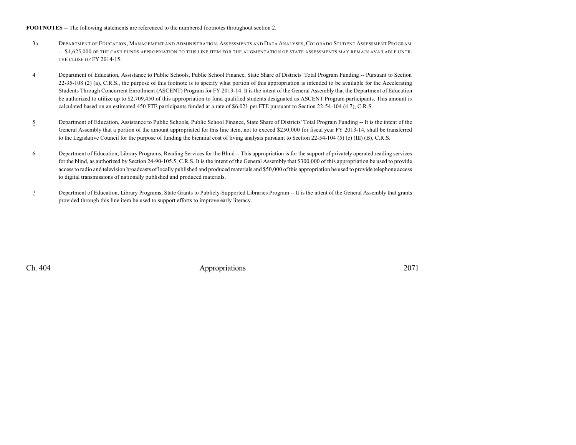#### **FOOTNOTES** -- The following statements are referenced to the numbered footnotes throughout section 2.

- 3a DEPARTMENT OF EDUCATION, MANAGEMENT AND ADMINISTRATION, ASSESSMENTS AND DATA ANALYSES, COLORADO STUDENT ASSESSMENT PROGRAM -- \$1,625,000 OF THE CASH FUNDS APPROPRIATION TO THIS LINE ITEM FOR THE AUGMENTATION OF STATE ASSESSMENTS MAY REMAIN AVAILABLE UNTIL THE CLOSE OF FY 2014-15.
- 4 Department of Education, Assistance to Public Schools, Public School Finance, State Share of Districts' Total Program Funding -- Pursuant to Section 22-35-108 (2) (a), C.R.S., the purpose of this footnote is to specify what portion of this appropriation is intended to be available for the Accelerating Students Through Concurrent Enrollment (ASCENT) Program for FY 2013-14. It is the intent of the General Assembly that the Department of Education be authorized to utilize up to \$2,709,450 of this appropriation to fund qualified students designated as ASCENT Program participants. This amount is calculated based on an estimated 450 FTE participants funded at a rate of \$6,021 per FTE pursuant to Section 22-54-104 (4.7), C.R.S.
- 5 Department of Education, Assistance to Public Schools, Public School Finance, State Share of Districts' Total Program Funding -- It is the intent of the General Assembly that a portion of the amount appropriated for this line item, not to exceed \$250,000 for fiscal year FY 2013-14, shall be transferred to the Legislative Council for the purpose of funding the biennial cost of living analysis pursuant to Section 22-54-104 (5) (c) (III) (B), C.R.S.
- 6 Department of Education, Library Programs, Reading Services for the Blind -- This appropriation is for the support of privately operated reading services for the blind, as authorized by Section 24-90-105.5, C.R.S. It is the intent of the General Assembly that \$300,000 of this appropriation be used to provide access to radio and television broadcasts of locally published and produced materials and \$50,000 of this appropriation be used to provide telephone access to digital transmissions of nationally published and produced materials.
- 7 Department of Education, Library Programs, State Grants to Publicly-Supported Libraries Program -- It is the intent of the General Assembly that grants provided through this line item be used to support efforts to improve early literacy.